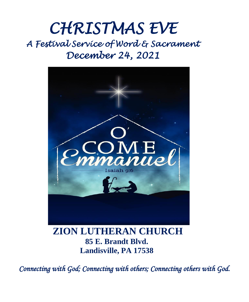# *CHRISTMAS EVE*

*A Festival Service of Word & Sacrament December 24, 2021* 



## **ZION LUTHERAN CHURCH 85 E. Brandt Blvd. Landisville, PA 17538**

*Connecting with God; Connecting with others; Connecting others with God.*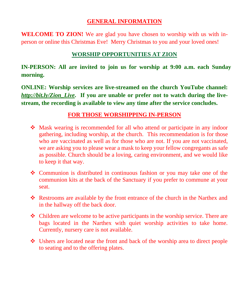#### **GENERAL INFORMATION**

**WELCOME TO ZION!** We are glad you have chosen to worship with us with inperson or online this Christmas Eve! Merry Christmas to you and your loved ones!

#### **WORSHIP OPPORTUNITIES AT ZION**

**IN-PERSON: All are invited to join us for worship at 9:00 a.m. each Sunday morning.**

**ONLINE: Worship services are live-streamed on the church YouTube channel:** *[http://bit.ly/Zion\\_Live](http://bit.ly/Zion_Live)***. If you are unable or prefer not to watch during the livestream, the recording is available to view any time after the service concludes.**

#### **FOR THOSE WORSHIPPING IN-PERSON**

- ❖ Mask wearing is recommended for all who attend or participate in any indoor gathering, including worship, at the church. This recommendation is for those who are vaccinated as well as for those who are not. If you are not vaccinated, we are asking you to please wear a mask to keep your fellow congregants as safe as possible. Church should be a loving, caring environment, and we would like to keep it that way.
- ❖ Communion is distributed in continuous fashion or you may take one of the communion kits at the back of the Sanctuary if you prefer to commune at your seat.
- ❖ Restrooms are available by the front entrance of the church in the Narthex and in the hallway off the back door.
- ❖ Children are welcome to be active participants in the worship service. There are bags located in the Narthex with quiet worship activities to take home. Currently, nursery care is not available.
- ❖ Ushers are located near the front and back of the worship area to direct people to seating and to the offering plates.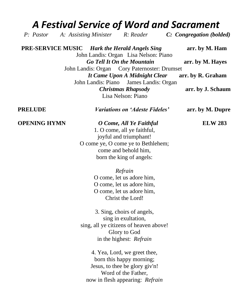|                     | P: Pastor A: Assisting Minister R: Reader            |                                                 | <b>A Festival Service of Word and Sacrament</b><br>C: Congregation (bolded) |
|---------------------|------------------------------------------------------|-------------------------------------------------|-----------------------------------------------------------------------------|
|                     | <b>PRE-SERVICE MUSIC</b> Hark the Herald Angels Sing | John Landis: Organ Lisa Nelson: Piano           | arr. by M. Ham                                                              |
|                     |                                                      | <b>Go Tell It On the Mountain</b>               | arr. by M. Hayes                                                            |
|                     | John Landis: Organ Cory Paternoster: Drumset         |                                                 |                                                                             |
|                     |                                                      | It Came Upon A Midnight Clear                   | arr. by R. Graham                                                           |
|                     | John Landis: Piano James Landis: Organ               |                                                 |                                                                             |
|                     |                                                      | <b>Christmas Rhapsody</b><br>Lisa Nelson: Piano | arr. by J. Schaum                                                           |
| <b>PRELUDE</b>      |                                                      | <i>Variations on 'Adeste Fideles'</i>           | arr. by M. Dupre                                                            |
| <b>OPENING HYMN</b> |                                                      | O Come, All Ye Faithful                         | <b>ELW 283</b>                                                              |
|                     |                                                      | 1. O come, all ye faithful,                     |                                                                             |
|                     |                                                      | joyful and triumphant!                          |                                                                             |
|                     |                                                      | O come ye, O come ye to Bethlehem;              |                                                                             |
|                     |                                                      | come and behold him,                            |                                                                             |
|                     |                                                      | born the king of angels:                        |                                                                             |
|                     |                                                      | Refrain                                         |                                                                             |
|                     |                                                      | O come, let us adore him,                       |                                                                             |
|                     |                                                      | O come, let us adore him,                       |                                                                             |
|                     |                                                      | O come, let us adore him,                       |                                                                             |
|                     |                                                      | Christ the Lord!                                |                                                                             |
|                     |                                                      | 3. Sing, choirs of angels,                      |                                                                             |
|                     |                                                      | sing in exultation,                             |                                                                             |
|                     |                                                      | sing, all ye citizens of heaven above!          |                                                                             |
|                     |                                                      | Glory to God                                    |                                                                             |
|                     |                                                      | in the highest: Refrain                         |                                                                             |
|                     |                                                      | 4. Yea, Lord, we greet thee,                    |                                                                             |
|                     |                                                      | born this happy morning;                        |                                                                             |
|                     |                                                      | Jesus, to thee be glory giv'n!                  |                                                                             |
|                     |                                                      | Word of the Father,                             |                                                                             |
|                     |                                                      | now in flesh appearing: Refrain                 |                                                                             |
|                     |                                                      |                                                 |                                                                             |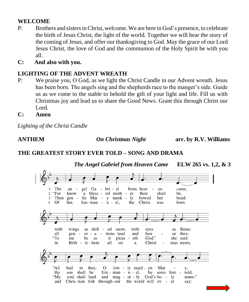#### **WELCOME**

- P: Brothers and sistersinChrist, welcome. We are here in God's presence, to celebrate the birth of Jesus Christ, the light of the world. Together we will hear the story of the coming of Jesus, and offer our thanksgiving to God. May the grace of our Lord Jesus Christ, the love of God and the communion of the Holy Spirit be with you all.
- **C: And also with you.**

#### **LIGHTING OF THE ADVENT WREATH**

- P: We praise you, O God, as we light the Christ Candle in our Advent wreath. Jesus has been born. The angels sing and the shepherds race to the manger's side. Guide us as we come to the stable to behold the gift of your light and life. Fill us with Christmas joy and lead us to share the Good News. Grant this through Christ our Lord.
- **C: Amen**

*Lighting of the Christ Candle*

**ANTHEM** *On Christmas Night* **arr. by R.V. Williams**

#### **THE GREATEST STORY EVER TOLD – SONG AND DRAMA**

 *The Angel Gabriel from Heaven Came* **ELW 265 vs. 1,2, & 3**The gel Ga bri - el from heav came. en  $\mathbf{1}$ an  $\sim$  $\overline{2}$ "For know a bless - ed moth - er thou shalt be. Then gen - tle Mar - y meek - ly 3 bowed her head:  $\overline{4}$ Of her.  $Em-man - u - el.$ the Christ. was **b**orn with wings as drift - ed snow, with eyes as flame: all  $er - a$ tions laud and hon thee: gen -<sub>or</sub> "To pleas eth God." me be as it she said. in Beth - le - hem all <sub>on</sub> Christ mas morn, a "All hail to thee.  $\Omega$ low - ly maid - en Mar у, son shall be  $Em - man - u - el$ , by seers fore told. thy "My soul shall laud and mag - ni - fy God's ho - ly name." Chris-tian folk through-out the world will ev and er say: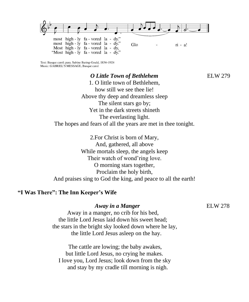

Text: Basque carol; para. Sabine Baring-Gould, 1834-1924 Music: GABRIEL'S MESSAGE, Basque carol

> *O Little Town of Bethlehem* ELW 279 1. O little town of Bethlehem, how still we see thee lie! Above thy deep and dreamless sleep The silent stars go by; Yet in the dark streets shineth The everlasting light. The hopes and fears of all the years are met in thee tonight.

2.For Christ is born of Mary, And, gathered, all above While mortals sleep, the angels keep Their watch of wond'ring love. O morning stars together, Proclaim the holy birth, And praises sing to God the king, and peace to all the earth!

#### **"I Was There": The Inn Keeper's Wife**

### *Away in a Manger* **ELW** 278 Away in a manger, no crib for his bed, the little Lord Jesus laid down his sweet head; the stars in the bright sky looked down where he lay, the little Lord Jesus asleep on the hay. The cattle are lowing; the baby awakes,

 but little Lord Jesus, no crying he makes. I love you, Lord Jesus; look down from the sky and stay by my cradle till morning is nigh.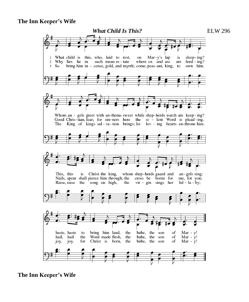#### **The Inn Keeper's Wife**



**The Inn Keeper's Wife**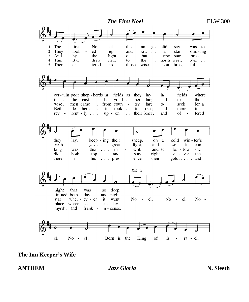*The First Noel* ELW 300



#### **The Inn Keeper's Wife**

**ANTHEM** *Jazz Gloria* **N. Sleeth**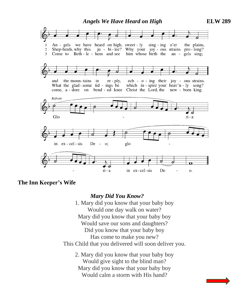*Angels We Have Heard on High* **ELW 289**



**The Inn Keeper's Wife**

#### *Mary Did You Know?*

1. Mary did you know that your baby boy Would one day walk on water? Mary did you know that your baby boy Would save our sons and daughters? Did you know that your baby boy Has come to make you new? This Child that you delivered will soon deliver you.

2. Mary did you know that your baby boy Would give sight to the blind man? Mary did you know that your baby boy Would calm a storm with His hand?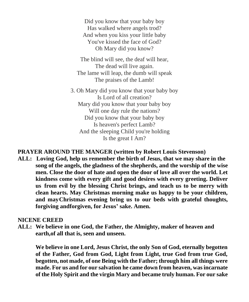Did you know that your baby boy Has walked where angels trod? And when you kiss your little baby You've kissed the face of God? Oh Mary did you know?

The blind will see, the deaf will hear, The dead will live again. The lame will leap, the dumb will speak The praises of the Lamb!

3. Oh Mary did you know that your baby boy Is Lord of all creation? Mary did you know that your baby boy Will one day rule the nations? Did you know that your baby boy Is heaven's perfect Lamb? And the sleeping Child you're holding Is the great I Am?

#### **PRAYER AROUND THE MANGER (written by Robert Louis Stevenson)**

**ALL: Loving God, help us remember the birth of Jesus, that we may share in the song of the angels, the gladness of the shepherds, and the worship of the wise men. Close the door of hate and open the door of love all over the world. Let kindness come with every gift and good desires with every greeting. Deliver us from evil by the blessing Christ brings, and teach us to be merry with clean hearts. May Christmas morning make us happy to be your children, and mayChristmas evening bring us to our beds with grateful thoughts, forgiving andforgiven, for Jesus' sake. Amen.**

#### **NICENE CREED**

**ALL: We believe in one God, the Father, the Almighty, maker of heaven and earth,of all that is, seen and unseen.**

**We believe in one Lord, Jesus Christ, the only Son of God, eternally begotten of the Father, God from God, Light from Light, true God from true God, begotten, not made, of one Being with the Father; through him all things were made. For us and for our salvation he came down from heaven, wasincarnate of the Holy Spirit and the virgin Mary and became truly human. For our sake**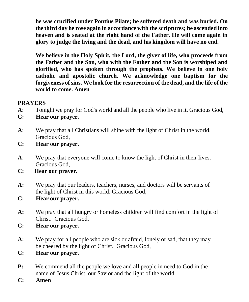**he was crucified under Pontius Pilate; he suffered death and was buried. On the third day he rose again in accordance with the scriptures; he ascended into heaven and is seated at the right hand of the Father. He will come again in glory to judge the living and the dead, and his kingdom will have no end.**

**We believe in the Holy Spirit, the Lord, the giver of life, who proceeds from the Father and the Son, who with the Father and the Son is worshiped and glorified, who has spoken through the prophets. We believe in one holy catholic and apostolic church. We acknowledge one baptism for the forgiveness ofsins. We look for the resurrection of the dead, and the life of the world to come. Amen**

#### **PRAYERS**

- **A**: Tonight we pray for God's world and all the people who live in it. Gracious God,
- **C: Hear our prayer.**
- **A**: We pray that all Christians will shine with the light of Christ in the world. Gracious God,
- **C: Hear our prayer.**
- **A**: We pray that everyone will come to know the light of Christ in their lives. Gracious God,
- **C: Hear our prayer.**
- **A:** We pray that our leaders, teachers, nurses, and doctors will be servants of the light of Christ in this world. Gracious God,
- **C: Hear our prayer.**
- **A:** We pray that all hungry or homeless children will find comfort in the light of Christ. Gracious God,
- **C: Hear our prayer.**
- **A:** We pray for all people who are sick or afraid, lonely or sad, that they may be cheered by the light of Christ. Gracious God,
- **C: Hear our prayer.**
- **P:** We commend all the people we love and all people in need to God in the name of Jesus Christ, our Savior and the light of the world.
- **C: Amen**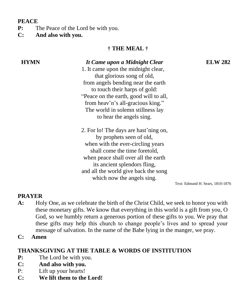#### **PEACE**

- **P:** The Peace of the Lord be with you.
- **C: And also with you.**

#### **† THE MEAL †**

**HYMN** *It Came upon a Midnight Clear* **ELW 282**

 1. It came upon the midnight clear, that glorious song of old, from angels bending near the earth to touch their harps of gold: "Peace on the earth, good will to all, from heav'n's all-gracious king." The world in solemn stillness lay to hear the angels sing.

2. For lo! The days are hast'ning on, by prophets seen of old, when with the ever-circling years shall come the time foretold, when peace shall over all the earth its ancient splendors fling, and all the world give back the song which now the angels sing.

Text: Edmund H. Sears, 1810-1876

#### **PRAYER**

- **A:** Holy One, as we celebrate the birth of the Christ Child, we seek to honor you with these monetary gifts. We know that everything in this world is a gift from you, O God, so we humbly return a generous portion of these gifts to you. We pray that these gifts may help this church to change people's lives and to spread your message of salvation. In the name of the Babe lying in the manger, we pray.
- **C: Amen**

#### **THANKSGIVING AT THE TABLE & WORDS OF INSTITUTION**

- **P:** The Lord be with you.
- **C: And also with you.**
- P: Lift up your hearts!
- **C: We lift them to the Lord!**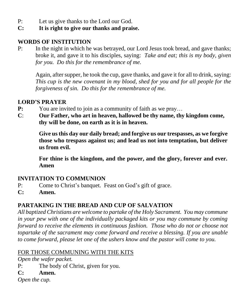- P: Let us give thanks to the Lord our God.
- **C: It is right to give our thanks and praise.**

#### **WORDS OF INSTITUTION**

P: In the night in which he was betrayed, our Lord Jesus took bread, and gave thanks; broke it, and gave it to his disciples, saying: *Take and eat; this is my body, given for you. Do this for the remembrance of me.* 

Again, after supper, he took the cup, gave thanks, and gave it for all to drink, saying: *This cup is the new covenant in my blood, shed for you and for all people for the forgiveness of sin. Do this for the remembrance of me.* 

#### **LORD'S PRAYER**

- **P:** You are invited to join as a community of faith as we pray...
- **C**: **Our Father, who art in heaven, hallowed be thy name, thy kingdom come, thy will be done, on earth as it is in heaven.**

**Give us this day our daily bread; and forgive us our trespasses, as we forgive those who trespass against us; and lead us not into temptation, but deliver us from evil.**

**For thine is the kingdom, and the power, and the glory, forever and ever. Amen**

#### **INVITATION TO COMMUNION**

- P: Come to Christ's banquet. Feast on God's gift of grace.
- **C: Amen.**

#### **PARTAKING IN THE BREAD AND CUP OF SALVATION**

*All baptized Christians are welcome to partake of the Holy Sacrament. You may commune in your pew with one of the individually packaged kits or you may commune by coming forward to receive the elements in continuous fashion. Those who do not or choose not topartake of the sacrament may come forward and receive a blessing. If you are unable to come forward, please let one of the ushers know and the pastor will come to you.*

#### FOR THOSE COMMUNING WITH THE KITS

*Open the wafer packet.*

- P: The body of Christ, given for you.
- **C: Amen.**

*Open the cup.*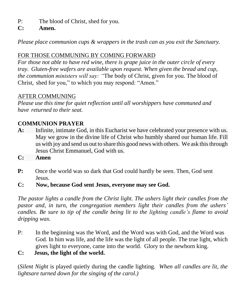- P: The blood of Christ, shed for you.
- **C: Amen.**

*Please place communion cups & wrappers in the trash can as you exit the Sanctuary.*

### FOR THOSE COMMUNING BY COMING FORWARD

*For those not able to have red wine, there is grape juice in the outer circle of every tray. Gluten-free wafers are available upon request. When given the bread and cup, the communion ministers will say: "*The body of Christ, given for you. The blood of Christ, shed for you," to which you may respond: "Amen."

### AFTER COMMUNING

*Please use this time for quiet reflection until all worshippers have communed and have returned to their seat.*

### **COMMUNION PRAYER**

- **A:** Infinite, intimate God, in this Eucharist we have celebrated your presence with us. May we grow in the divine life of Christ who humbly shared our human life. Fill us with joy and send us out to share this good news with others. We ask this through Jesus Christ Emmanuel, God with us.
- **C: Amen**
- **P:** Once the world was so dark that God could hardly be seen. Then, God sent Jesus.
- **C: Now, because God sent Jesus, everyone may see God.**

*The pastor lights a candle from the Christ light. The ushers light their candles from the pastor and, in turn, the congregation members light their candles from the ushers' candles. Be sure to tip of the candle being lit to the lighting candle's flame to avoid dripping wax.*

- P: In the beginning was the Word, and the Word was with God, and the Word was God. In him was life, and the life was the light of all people. The true light, which gives light to everyone, came into the world. Glory to the newborn king.
- **C: Jesus, the light of the world.**

(*Silent Night* is played quietly during the candle lighting. *When all candles are lit, the lightsare turned down for the singing of the carol.)*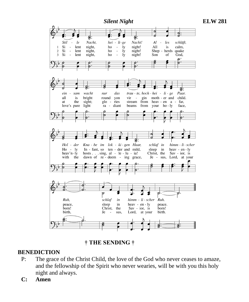

**† THE SENDING †**

#### **BENEDICTION**

- P: The grace of the Christ Child, the love of the God who never ceases to amaze, and the fellowship of the Spirit who never wearies, will be with you this holy night and always.
- **C: Amen**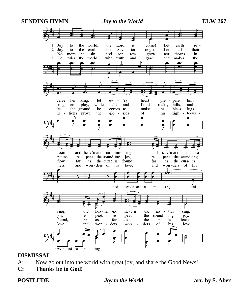

#### **DISMISSAL**

- A: Now go out into the world with great joy, and share the Good News!
- **C: Thanks be to God!**

**POSTLUDE** *Joy to the World* **arr. by S. Aber**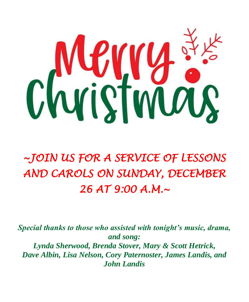

# *~JOIN US FOR A SERVICE OF LESSONS AND CAROLS ON SUNDAY, DECEMBER 26 AT 9:00 A.M.~*

*Special thanks to those who assisted with tonight's music, drama, and song: Lynda Sherwood, Brenda Stover, Mary & Scott Hetrick, Dave Albin, Lisa Nelson, Cory Paternoster, James Landis, and John Landis*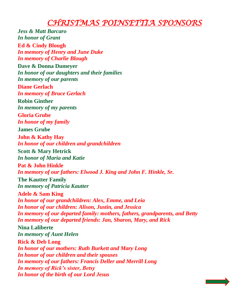## *CHRISTMAS POINSETTIA SPONSORS*

*Jess & Matt Barcaro In honor of Grant*  **Ed & Cindy Blough** *In memory of Henry and June Duke In memory of Charlie Blough* **Dave & Donna Dumeyer**  *In honor of our daughters and their families In memory of our parents* **Diane Gerlach** *In memory of Bruce Gerlach* **Robin Ginther** *In memory of my parents* **Gloria Grube** *In honor of my family* **James Grube John & Kathy Hay** *In honor of our children and grandchildren* **Scott & Mary Hetrick** *In honor of Maria and Katie* **Pat & John Hinkle** *In memory of our fathers: Elwood J. King and John F. Hinkle, Sr.*  **The Kautter Family** *In memory of Patricia Kautter* **Adele & Sam King** *In honor of our grandchildren: Alex, Emme, and Leia In honor of our children: Alison, Justin, and Jessica In memory of our departed family: mothers, fathers, grandparents, and Betty In memory of our departed friends: Jan, Sharon, Mary, and Rick* **Nina Laliberte** *In memory of Aunt Helen* **Rick & Deb Long** *In honor of our mothers: Ruth Burkett and Mary Long In honor of our children and their spouses In memory of our fathers: Francis Deller and Merrill Long In memory of Rick's sister, Betsy In honor of the birth of our Lord Jesus*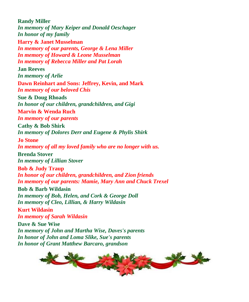**Randy Miller**  *In memory of Mary Keiper and Donald Oeschager In honor of my family* **Harry & Janet Musselman** *In memory of our parents, George & Lena Miller In memory of Howard & Leone Musselman In memory of Rebecca Miller and Pat Lorah* **Jan Reeves** *In memory of Arlie* **Dawn Reinhart and Sons: Jeffrey, Kevin, and Mark** *In memory of our beloved Chis* **Sue & Doug Rhoads** *In honor of our children, grandchildren, and Gigi* **Marvin & Wenda Ruch** *In memory of our parents* **Cathy & Bob Shirk** *In memory of Dolores Derr and Eugene & Phylis Shirk* **Jo Stone** *In memory of all my loved family who are no longer with us.*  **Brenda Stover** *In memory of Lillian Stover* **Bob & Judy Traup** *In honor of our children, grandchildren, and Zion friends In memory of our parents: Mamie, Mary Ann and Chuck Trexel* **Bob & Barb Wildasin** *In memory of Bob, Helen, and Cork & George Doll In memory of Cleo, Lillian, & Harry Wildasin* **Kurt Wildasin** *In memory of Sarah Wildasin* **Dave & Sue Wise** *In memory of John and Martha Wise, Daves's parents In honor of John and Loma Slike, Sue's parents In honor of Grant Matthew Barcaro, grandson*

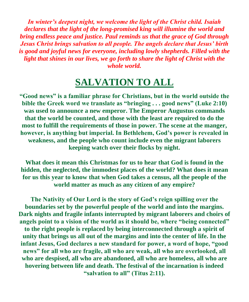*In winter's deepest night, we welcome the light of the Christ child. Isaiah declares that the light of the long-promised king will illumine the world and bring endless peace and justice. Paul reminds us that the grace of God through Jesus Christ brings salvation to all people. The angels declare that Jesus' birth is good and joyful news for everyone, including lowly shepherds. Filled with the light that shines in our lives, we go forth to share the light of Christ with the whole world.*

# **SALVATION TO ALL**

**"Good news" is a familiar phrase for Christians, but in the world outside the bible the Greek word we translate as "bringing . . . good news" (Luke 2:10) was used to announce a new emperor. The Emperor Augustus commands that the world be counted, and those with the least are required to do the most to fulfill the requirements of those in power. The scene at the manger, however, is anything but imperial. In Bethlehem, God's power is revealed in weakness, and the people who count include even the migrant laborers keeping watch over their flocks by night.**

**What does it mean this Christmas for us to hear that God is found in the hidden, the neglected, the immodest places of the world? What does it mean for us this year to know that when God takes a census, all the people of the world matter as much as any citizen of any empire?**

**The Nativity of Our Lord is the story of God's reign spilling over the boundaries set by the powerful people of the world and into the margins. Dark nights and fragile infants interrupted by migrant laborers and choirs of angels point to a vision of the world as it should be, where "being connected" to the right people is replaced by being interconnected through a spirit of unity that brings us all out of the margins and into the center of life. In the infant Jesus, God declares a new standard for power, a word of hope, "good news" for all who are fragile, all who are weak, all who are overlooked, all who are despised, all who are abandoned, all who are homeless, all who are hovering between life and death. The festival of the incarnation is indeed "salvation to all" (Titus 2:11).**